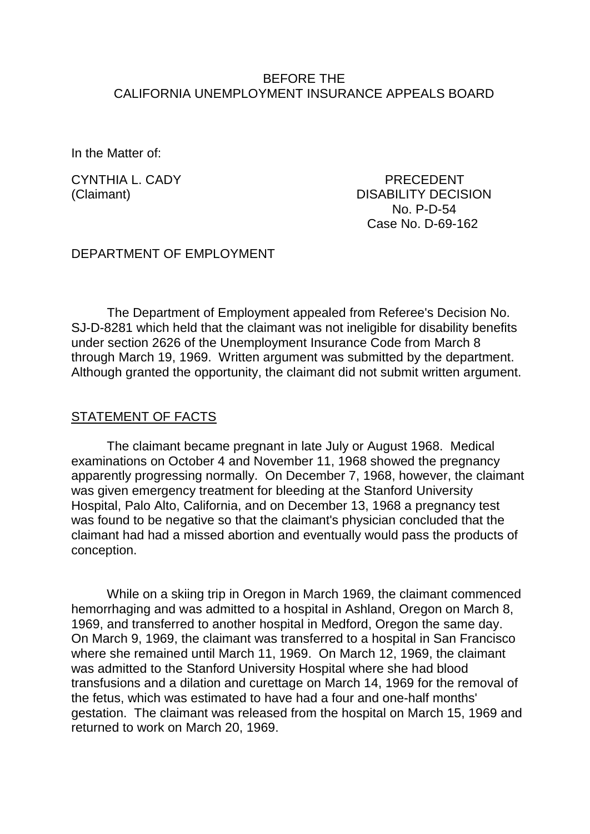#### BEFORE THE CALIFORNIA UNEMPLOYMENT INSURANCE APPEALS BOARD

In the Matter of:

CYNTHIA L. CADY PRECEDENT (Claimant) DISABILITY DECISION No. P-D-54 Case No. D-69-162

#### DEPARTMENT OF EMPLOYMENT

The Department of Employment appealed from Referee's Decision No. SJ-D-8281 which held that the claimant was not ineligible for disability benefits under section 2626 of the Unemployment Insurance Code from March 8 through March 19, 1969. Written argument was submitted by the department. Although granted the opportunity, the claimant did not submit written argument.

## STATEMENT OF FACTS

The claimant became pregnant in late July or August 1968. Medical examinations on October 4 and November 11, 1968 showed the pregnancy apparently progressing normally. On December 7, 1968, however, the claimant was given emergency treatment for bleeding at the Stanford University Hospital, Palo Alto, California, and on December 13, 1968 a pregnancy test was found to be negative so that the claimant's physician concluded that the claimant had had a missed abortion and eventually would pass the products of conception.

While on a skiing trip in Oregon in March 1969, the claimant commenced hemorrhaging and was admitted to a hospital in Ashland, Oregon on March 8, 1969, and transferred to another hospital in Medford, Oregon the same day. On March 9, 1969, the claimant was transferred to a hospital in San Francisco where she remained until March 11, 1969. On March 12, 1969, the claimant was admitted to the Stanford University Hospital where she had blood transfusions and a dilation and curettage on March 14, 1969 for the removal of the fetus, which was estimated to have had a four and one-half months' gestation. The claimant was released from the hospital on March 15, 1969 and returned to work on March 20, 1969.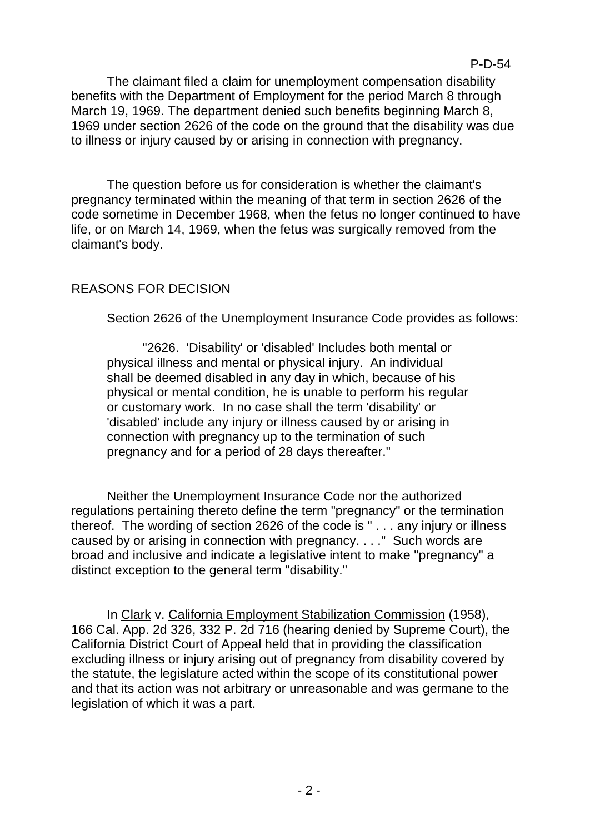The claimant filed a claim for unemployment compensation disability benefits with the Department of Employment for the period March 8 through March 19, 1969. The department denied such benefits beginning March 8, 1969 under section 2626 of the code on the ground that the disability was due to illness or injury caused by or arising in connection with pregnancy.

The question before us for consideration is whether the claimant's pregnancy terminated within the meaning of that term in section 2626 of the code sometime in December 1968, when the fetus no longer continued to have life, or on March 14, 1969, when the fetus was surgically removed from the claimant's body.

# REASONS FOR DECISION

Section 2626 of the Unemployment Insurance Code provides as follows:

"2626. 'Disability' or 'disabled' Includes both mental or physical illness and mental or physical injury. An individual shall be deemed disabled in any day in which, because of his physical or mental condition, he is unable to perform his regular or customary work. In no case shall the term 'disability' or 'disabled' include any injury or illness caused by or arising in connection with pregnancy up to the termination of such pregnancy and for a period of 28 days thereafter."

Neither the Unemployment Insurance Code nor the authorized regulations pertaining thereto define the term "pregnancy" or the termination thereof. The wording of section 2626 of the code is " . . . any injury or illness caused by or arising in connection with pregnancy. . . ." Such words are broad and inclusive and indicate a legislative intent to make "pregnancy" a distinct exception to the general term "disability."

In Clark v. California Employment Stabilization Commission (1958), 166 Cal. App. 2d 326, 332 P. 2d 716 (hearing denied by Supreme Court), the California District Court of Appeal held that in providing the classification excluding illness or injury arising out of pregnancy from disability covered by the statute, the legislature acted within the scope of its constitutional power and that its action was not arbitrary or unreasonable and was germane to the legislation of which it was a part.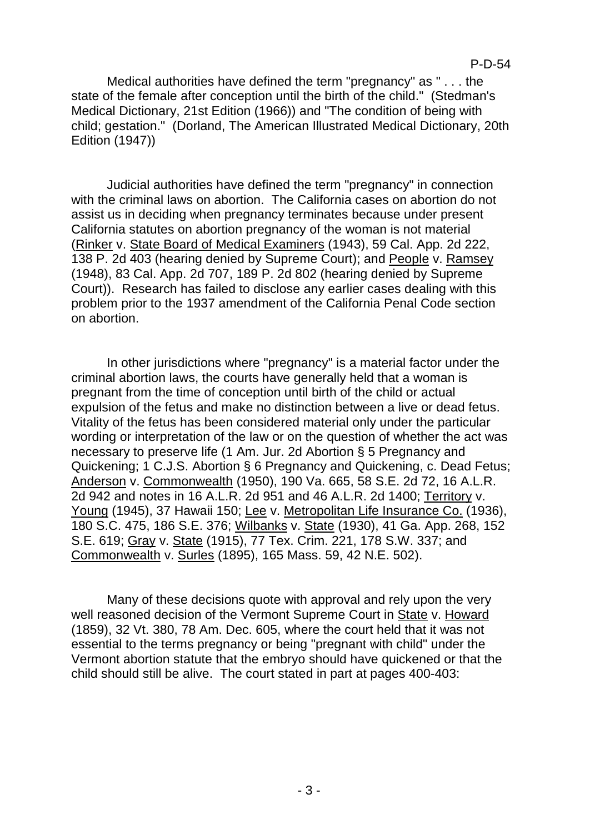Medical authorities have defined the term "pregnancy" as " . . . the state of the female after conception until the birth of the child." (Stedman's Medical Dictionary, 21st Edition (1966)) and "The condition of being with child; gestation." (Dorland, The American Illustrated Medical Dictionary, 20th Edition (1947))

Judicial authorities have defined the term "pregnancy" in connection with the criminal laws on abortion. The California cases on abortion do not assist us in deciding when pregnancy terminates because under present California statutes on abortion pregnancy of the woman is not material (Rinker v. State Board of Medical Examiners (1943), 59 Cal. App. 2d 222, 138 P. 2d 403 (hearing denied by Supreme Court); and People v. Ramsey (1948), 83 Cal. App. 2d 707, 189 P. 2d 802 (hearing denied by Supreme Court)). Research has failed to disclose any earlier cases dealing with this problem prior to the 1937 amendment of the California Penal Code section on abortion.

In other jurisdictions where "pregnancy" is a material factor under the criminal abortion laws, the courts have generally held that a woman is pregnant from the time of conception until birth of the child or actual expulsion of the fetus and make no distinction between a live or dead fetus. Vitality of the fetus has been considered material only under the particular wording or interpretation of the law or on the question of whether the act was necessary to preserve life (1 Am. Jur. 2d Abortion § 5 Pregnancy and Quickening; 1 C.J.S. Abortion § 6 Pregnancy and Quickening, c. Dead Fetus; Anderson v. Commonwealth (1950), 190 Va. 665, 58 S.E. 2d 72, 16 A.L.R. 2d 942 and notes in 16 A.L.R. 2d 951 and 46 A.L.R. 2d 1400; Territory v. Young (1945), 37 Hawaii 150; Lee v. Metropolitan Life Insurance Co. (1936), 180 S.C. 475, 186 S.E. 376; Wilbanks v. State (1930), 41 Ga. App. 268, 152 S.E. 619; Gray v. State (1915), 77 Tex. Crim. 221, 178 S.W. 337; and Commonwealth v. Surles (1895), 165 Mass. 59, 42 N.E. 502).

Many of these decisions quote with approval and rely upon the very well reasoned decision of the Vermont Supreme Court in State v. Howard (1859), 32 Vt. 380, 78 Am. Dec. 605, where the court held that it was not essential to the terms pregnancy or being "pregnant with child" under the Vermont abortion statute that the embryo should have quickened or that the child should still be alive. The court stated in part at pages 400-403: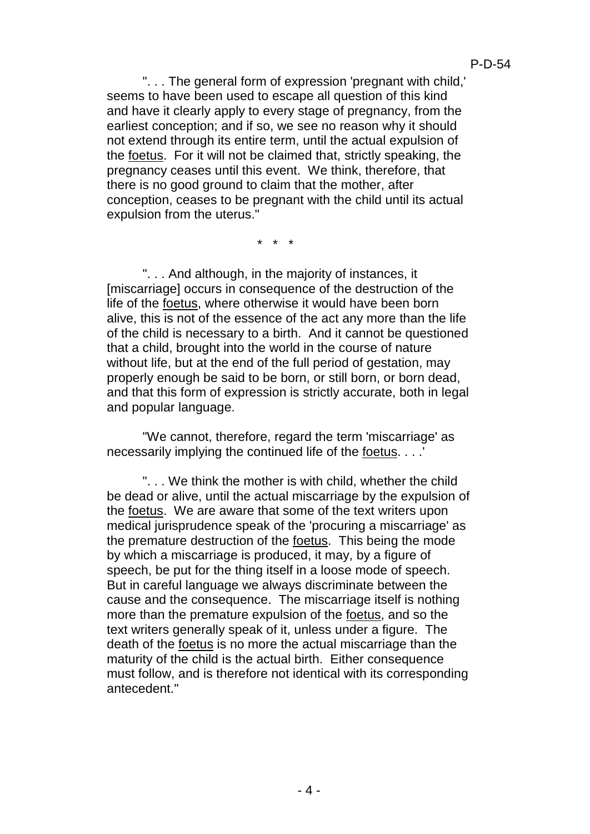". . . The general form of expression 'pregnant with child,' seems to have been used to escape all question of this kind and have it clearly apply to every stage of pregnancy, from the earliest conception; and if so, we see no reason why it should not extend through its entire term, until the actual expulsion of the foetus. For it will not be claimed that, strictly speaking, the pregnancy ceases until this event. We think, therefore, that there is no good ground to claim that the mother, after conception, ceases to be pregnant with the child until its actual expulsion from the uterus."

\* \* \*

". . . And although, in the majority of instances, it [miscarriage] occurs in consequence of the destruction of the life of the foetus, where otherwise it would have been born alive, this is not of the essence of the act any more than the life of the child is necessary to a birth. And it cannot be questioned that a child, brought into the world in the course of nature without life, but at the end of the full period of gestation, may properly enough be said to be born, or still born, or born dead, and that this form of expression is strictly accurate, both in legal and popular language.

"We cannot, therefore, regard the term 'miscarriage' as necessarily implying the continued life of the foetus. . . .'

". . . We think the mother is with child, whether the child be dead or alive, until the actual miscarriage by the expulsion of the foetus. We are aware that some of the text writers upon medical jurisprudence speak of the 'procuring a miscarriage' as the premature destruction of the foetus. This being the mode by which a miscarriage is produced, it may, by a figure of speech, be put for the thing itself in a loose mode of speech. But in careful language we always discriminate between the cause and the consequence. The miscarriage itself is nothing more than the premature expulsion of the foetus, and so the text writers generally speak of it, unless under a figure. The death of the foetus is no more the actual miscarriage than the maturity of the child is the actual birth. Either consequence must follow, and is therefore not identical with its corresponding antecedent."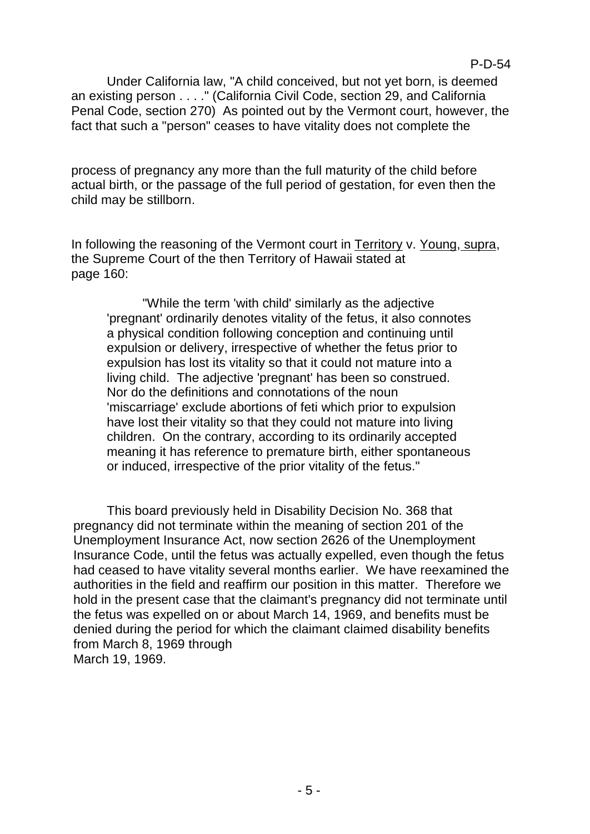Under California law, "A child conceived, but not yet born, is deemed an existing person . . . ." (California Civil Code, section 29, and California Penal Code, section 270) As pointed out by the Vermont court, however, the fact that such a "person" ceases to have vitality does not complete the

process of pregnancy any more than the full maturity of the child before actual birth, or the passage of the full period of gestation, for even then the child may be stillborn.

In following the reasoning of the Vermont court in Territory v. Young, supra, the Supreme Court of the then Territory of Hawaii stated at page 160:

"While the term 'with child' similarly as the adjective 'pregnant' ordinarily denotes vitality of the fetus, it also connotes a physical condition following conception and continuing until expulsion or delivery, irrespective of whether the fetus prior to expulsion has lost its vitality so that it could not mature into a living child. The adjective 'pregnant' has been so construed. Nor do the definitions and connotations of the noun 'miscarriage' exclude abortions of feti which prior to expulsion have lost their vitality so that they could not mature into living children. On the contrary, according to its ordinarily accepted meaning it has reference to premature birth, either spontaneous or induced, irrespective of the prior vitality of the fetus."

This board previously held in Disability Decision No. 368 that pregnancy did not terminate within the meaning of section 201 of the Unemployment Insurance Act, now section 2626 of the Unemployment Insurance Code, until the fetus was actually expelled, even though the fetus had ceased to have vitality several months earlier. We have reexamined the authorities in the field and reaffirm our position in this matter. Therefore we hold in the present case that the claimant's pregnancy did not terminate until the fetus was expelled on or about March 14, 1969, and benefits must be denied during the period for which the claimant claimed disability benefits from March 8, 1969 through March 19, 1969.